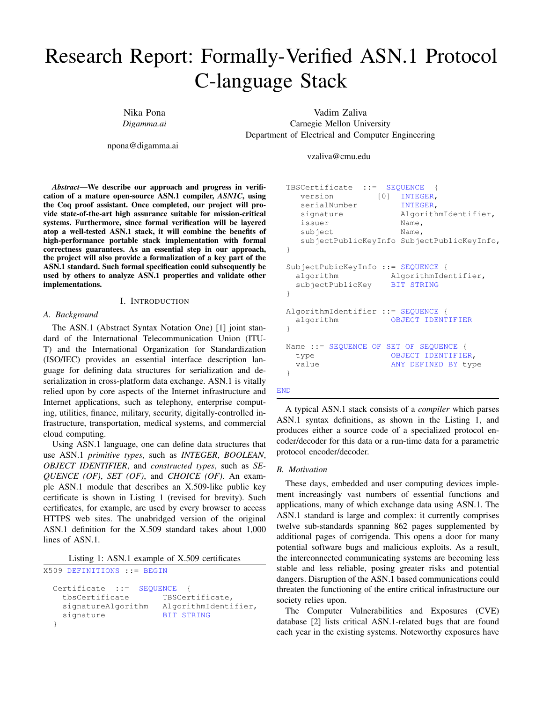# Research Report: Formally-Verified ASN.1 Protocol C-language Stack

Nika Pona *Digamma.ai*

npona@digamma.ai

Vadim Zaliva Carnegie Mellon University Department of Electrical and Computer Engineering

vzaliva@cmu.edu

*Abstract*—We describe our approach and progress in verification of a mature open-source ASN.1 compiler, *ASN1C*, using the Coq proof assistant. Once completed, our project will provide state-of-the-art high assurance suitable for mission-critical systems. Furthermore, since formal verification will be layered atop a well-tested ASN.1 stack, it will combine the benefits of high-performance portable stack implementation with formal correctness guarantees. As an essential step in our approach, the project will also provide a formalization of a key part of the ASN.1 standard. Such formal specification could subsequently be used by others to analyze ASN.1 properties and validate other implementations.

#### I. INTRODUCTION

#### *A. Background*

The ASN.1 (Abstract Syntax Notation One) [1] joint standard of the International Telecommunication Union (ITU-T) and the International Organization for Standardization (ISO/IEC) provides an essential interface description language for defining data structures for serialization and deserialization in cross-platform data exchange. ASN.1 is vitally relied upon by core aspects of the Internet infrastructure and Internet applications, such as telephony, enterprise computing, utilities, finance, military, security, digitally-controlled infrastructure, transportation, medical systems, and commercial cloud computing.

Using ASN.1 language, one can define data structures that use ASN.1 *primitive types*, such as *INTEGER*, *BOOLEAN*, *OBJECT IDENTIFIER*, and *constructed types*, such as *SE-QUENCE (OF)*, *SET (OF)*, and *CHOICE (OF)*. An example ASN.1 module that describes an X.509-like public key certificate is shown in Listing 1 (revised for brevity). Such certificates, for example, are used by every browser to access HTTPS web sites. The unabridged version of the original ASN.1 definition for the X.509 standard takes about 1,000 lines of ASN.1.

|  |  |  |  |  |  |  | Listing 1: ASN.1 example of X.509 certificates |
|--|--|--|--|--|--|--|------------------------------------------------|
|--|--|--|--|--|--|--|------------------------------------------------|

X509 DEFINITIONS ::= BEGIN

```
Certificate ::= SEQUENCE {
 tbsCertificate TBSCertificate,
 signatureAlgorithm AlgorithmIdentifier,
 signature BIT STRING
}
```

```
TBSCertificate ::= SEQUENCE {
    version [0] INTEGER,
    serialNumber INTEGER,
    signature AlgorithmIdentifier,
    issuer Name,
    subject Name,
    subjectPublicKeyInfo SubjectPublicKeyInfo,
 }
 SubjectPubicKeyInfo ::= SEQUENCE {
   algorithm AlgorithmIdentifier,
   subjectPublicKey BIT STRING
 }
 AlgorithmIdentifier ::= SEQUENCE {
   algorithm OBJECT IDENTIFIER
 }
 Name ::= SEQUENCE OF SET OF SEQUENCE {
   type OBJECT IDENTIFIER,
   value ANY DEFINED BY type
 }
END
```
A typical ASN.1 stack consists of a *compiler* which parses ASN.1 syntax definitions, as shown in the Listing 1, and produces either a source code of a specialized protocol encoder/decoder for this data or a run-time data for a parametric protocol encoder/decoder.

#### *B. Motivation*

These days, embedded and user computing devices implement increasingly vast numbers of essential functions and applications, many of which exchange data using ASN.1. The ASN.1 standard is large and complex: it currently comprises twelve sub-standards spanning 862 pages supplemented by additional pages of corrigenda. This opens a door for many potential software bugs and malicious exploits. As a result, the interconnected communicating systems are becoming less stable and less reliable, posing greater risks and potential dangers. Disruption of the ASN.1 based communications could threaten the functioning of the entire critical infrastructure our society relies upon.

The Computer Vulnerabilities and Exposures (CVE) database [2] lists critical ASN.1-related bugs that are found each year in the existing systems. Noteworthy exposures have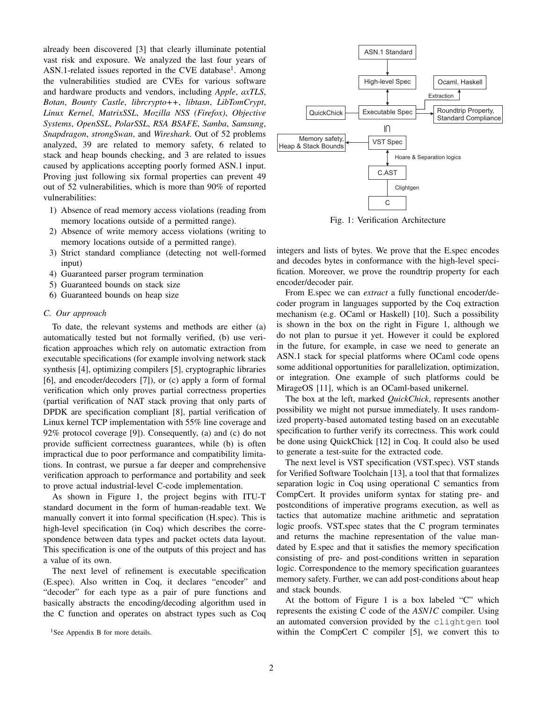already been discovered [3] that clearly illuminate potential vast risk and exposure. We analyzed the last four years of ASN.1-related issues reported in the CVE database<sup>1</sup>. Among the vulnerabilities studied are CVEs for various software and hardware products and vendors, including *Apple*, *axTLS*, *Botan*, *Bounty Castle*, *librcrypto++*, *libtasn*, *LibTomCrypt*, *Linux Kernel*, *MatrixSSL*, *Mozilla NSS (Firefox)*, *Objective Systems*, *OpenSSL*, *PolarSSL*, *RSA BSAFE*, *Samba*, *Samsung*, *Snapdragon*, *strongSwan*, and *Wireshark*. Out of 52 problems analyzed, 39 are related to memory safety, 6 related to stack and heap bounds checking, and 3 are related to issues caused by applications accepting poorly formed ASN.1 input. Proving just following six formal properties can prevent 49 out of 52 vulnerabilities, which is more than 90% of reported vulnerabilities:

- 1) Absence of read memory access violations (reading from memory locations outside of a permitted range).
- 2) Absence of write memory access violations (writing to memory locations outside of a permitted range).
- 3) Strict standard compliance (detecting not well-formed input)
- 4) Guaranteed parser program termination
- 5) Guaranteed bounds on stack size
- 6) Guaranteed bounds on heap size

#### *C. Our approach*

To date, the relevant systems and methods are either (a) automatically tested but not formally verified, (b) use verification approaches which rely on automatic extraction from executable specifications (for example involving network stack synthesis [4], optimizing compilers [5], cryptographic libraries [6], and encoder/decoders [7]), or (c) apply a form of formal verification which only proves partial correctness properties (partial verification of NAT stack proving that only parts of DPDK are specification compliant [8], partial verification of Linux kernel TCP implementation with 55% line coverage and 92% protocol coverage [9]). Consequently, (a) and (c) do not provide sufficient correctness guarantees, while (b) is often impractical due to poor performance and compatibility limitations. In contrast, we pursue a far deeper and comprehensive verification approach to performance and portability and seek to prove actual industrial-level C-code implementation.

As shown in Figure 1, the project begins with ITU-T standard document in the form of human-readable text. We manually convert it into formal specification (H.spec). This is high-level specification (in Coq) which describes the correspondence between data types and packet octets data layout. This specification is one of the outputs of this project and has a value of its own.

The next level of refinement is executable specification (E.spec). Also written in Coq, it declares "encoder" and "decoder" for each type as a pair of pure functions and basically abstracts the encoding/decoding algorithm used in the C function and operates on abstract types such as Coq



Fig. 1: Verification Architecture

integers and lists of bytes. We prove that the E.spec encodes and decodes bytes in conformance with the high-level specification. Moreover, we prove the roundtrip property for each encoder/decoder pair.

From E.spec we can *extract* a fully functional encoder/decoder program in languages supported by the Coq extraction mechanism (e.g. OCaml or Haskell) [10]. Such a possibility is shown in the box on the right in Figure 1, although we do not plan to pursue it yet. However it could be explored in the future, for example, in case we need to generate an ASN.1 stack for special platforms where OCaml code opens some additional opportunities for parallelization, optimization, or integration. One example of such platforms could be MirageOS [11], which is an OCaml-based unikernel.

The box at the left, marked *QuickChick*, represents another possibility we might not pursue immediately. It uses randomized property-based automated testing based on an executable specification to further verify its correctness. This work could be done using QuickChick [12] in Coq. It could also be used to generate a test-suite for the extracted code.

The next level is VST specification (VST.spec). VST stands for Verified Software Toolchain [13], a tool that that formalizes separation logic in Coq using operational C semantics from CompCert. It provides uniform syntax for stating pre- and postconditions of imperative programs execution, as well as tactics that automatize machine arithmetic and sepratation logic proofs. VST.spec states that the C program terminates and returns the machine representation of the value mandated by E.spec and that it satisfies the memory specification consisting of pre- and post-conditions written in separation logic. Correspondence to the memory specification guarantees memory safety. Further, we can add post-conditions about heap and stack bounds.

At the bottom of Figure 1 is a box labeled "C" which represents the existing C code of the *ASN1C* compiler. Using an automated conversion provided by the clightgen tool within the CompCert C compiler [5], we convert this to

<sup>&</sup>lt;sup>1</sup>See Appendix B for more details.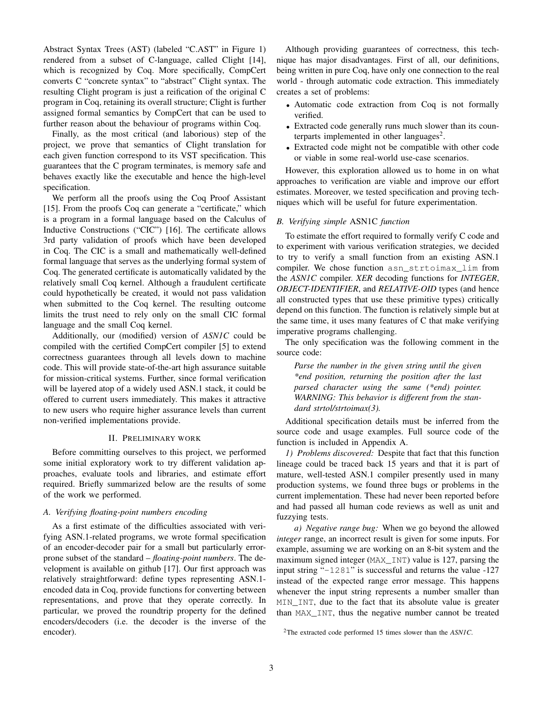Abstract Syntax Trees (AST) (labeled "C.AST" in Figure 1) rendered from a subset of C-language, called Clight [14], which is recognized by Coq. More specifically, CompCert converts C "concrete syntax" to "abstract" Clight syntax. The resulting Clight program is just a reification of the original C program in Coq, retaining its overall structure; Clight is further assigned formal semantics by CompCert that can be used to further reason about the behaviour of programs within Coq.

Finally, as the most critical (and laborious) step of the project, we prove that semantics of Clight translation for each given function correspond to its VST specification. This guarantees that the C program terminates, is memory safe and behaves exactly like the executable and hence the high-level specification.

We perform all the proofs using the Coq Proof Assistant [15]. From the proofs Coq can generate a "certificate," which is a program in a formal language based on the Calculus of Inductive Constructions ("CIC") [16]. The certificate allows 3rd party validation of proofs which have been developed in Coq. The CIC is a small and mathematically well-defined formal language that serves as the underlying formal system of Coq. The generated certificate is automatically validated by the relatively small Coq kernel. Although a fraudulent certificate could hypothetically be created, it would not pass validation when submitted to the Coq kernel. The resulting outcome limits the trust need to rely only on the small CIC formal language and the small Coq kernel.

Additionally, our (modified) version of *ASN1C* could be compiled with the certified CompCert compiler [5] to extend correctness guarantees through all levels down to machine code. This will provide state-of-the-art high assurance suitable for mission-critical systems. Further, since formal verification will be layered atop of a widely used ASN.1 stack, it could be offered to current users immediately. This makes it attractive to new users who require higher assurance levels than current non-verified implementations provide.

# II. PRELIMINARY WORK

Before committing ourselves to this project, we performed some initial exploratory work to try different validation approaches, evaluate tools and libraries, and estimate effort required. Briefly summarized below are the results of some of the work we performed.

# *A. Verifying floating-point numbers encoding*

As a first estimate of the difficulties associated with verifying ASN.1-related programs, we wrote formal specification of an encoder-decoder pair for a small but particularly errorprone subset of the standard – *floating-point numbers*. The development is available on github [17]. Our first approach was relatively straightforward: define types representing ASN.1 encoded data in Coq, provide functions for converting between representations, and prove that they operate correctly. In particular, we proved the roundtrip property for the defined encoders/decoders (i.e. the decoder is the inverse of the encoder).

Although providing guarantees of correctness, this technique has major disadvantages. First of all, our definitions, being written in pure Coq, have only one connection to the real world - through automatic code extraction. This immediately creates a set of problems:

- Automatic code extraction from Coq is not formally verified.
- Extracted code generally runs much slower than its counterparts implemented in other languages<sup>2</sup>.
- Extracted code might not be compatible with other code or viable in some real-world use-case scenarios.

However, this exploration allowed us to home in on what approaches to verification are viable and improve our effort estimates. Moreover, we tested specification and proving techniques which will be useful for future experimentation.

#### *B. Verifying simple* ASN1C *function*

To estimate the effort required to formally verify C code and to experiment with various verification strategies, we decided to try to verify a small function from an existing ASN.1 compiler. We chose function asn\_strtoimax\_lim from the *ASN1C* compiler. *XER* decoding functions for *INTEGER*, *OBJECT-IDENTIFIER*, and *RELATIVE-OID* types (and hence all constructed types that use these primitive types) critically depend on this function. The function is relatively simple but at the same time, it uses many features of C that make verifying imperative programs challenging.

The only specification was the following comment in the source code:

*Parse the number in the given string until the given \*end position, returning the position after the last parsed character using the same (\*end) pointer. WARNING: This behavior is different from the standard strtol/strtoimax(3).*

Additional specification details must be inferred from the source code and usage examples. Full source code of the function is included in Appendix A.

*1) Problems discovered:* Despite that fact that this function lineage could be traced back 15 years and that it is part of mature, well-tested ASN.1 compiler presently used in many production systems, we found three bugs or problems in the current implementation. These had never been reported before and had passed all human code reviews as well as unit and fuzzying tests.

*a) Negative range bug:* When we go beyond the allowed *integer* range, an incorrect result is given for some inputs. For example, assuming we are working on an 8-bit system and the maximum signed integer (MAX\_INT) value is 127, parsing the input string "-1281" is successful and returns the value -127 instead of the expected range error message. This happens whenever the input string represents a number smaller than MIN\_INT, due to the fact that its absolute value is greater than MAX\_INT, thus the negative number cannot be treated

<sup>2</sup>The extracted code performed 15 times slower than the *ASN1C*.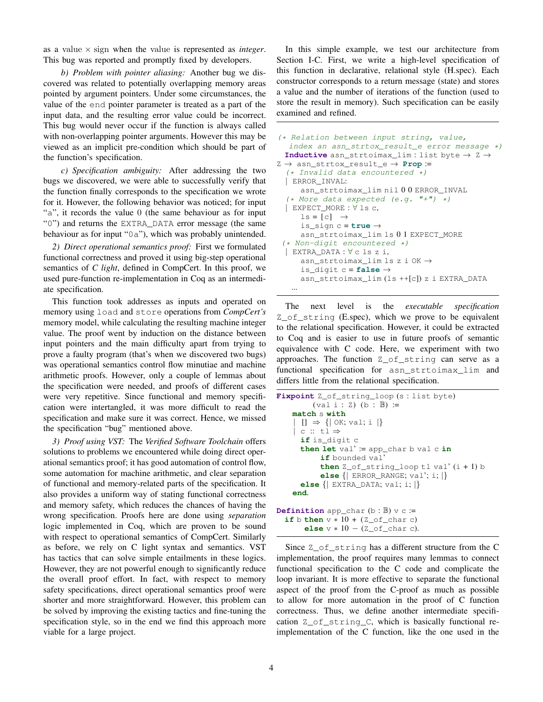as a value  $\times$  sign when the value is represented as *integer*. This bug was reported and promptly fixed by developers.

*b) Problem with pointer aliasing:* Another bug we discovered was related to potentially overlapping memory areas pointed by argument pointers. Under some circumstances, the value of the end pointer parameter is treated as a part of the input data, and the resulting error value could be incorrect. This bug would never occur if the function is always called with non-overlapping pointer arguments. However this may be viewed as an implicit pre-condition which should be part of the function's specification.

*c) Specification ambiguity:* After addressing the two bugs we discovered, we were able to successfully verify that the function finally corresponds to the specification we wrote for it. However, the following behavior was noticed; for input "a", it records the value 0 (the same behaviour as for input "0") and returns the EXTRA\_DATA error message (the same behaviour as for input "0a"), which was probably unintended.

*2) Direct operational semantics proof:* First we formulated functional correctness and proved it using big-step operational semantics of *C light*, defined in CompCert. In this proof, we used pure-function re-implementation in Coq as an intermediate specification.

This function took addresses as inputs and operated on memory using load and store operations from *CompCert's* memory model, while calculating the resulting machine integer value. The proof went by induction on the distance between input pointers and the main difficulty apart from trying to prove a faulty program (that's when we discovered two bugs) was operational semantics control flow minutiae and machine arithmetic proofs. However, only a couple of lemmas about the specification were needed, and proofs of different cases were very repetitive. Since functional and memory specification were intertangled, it was more difficult to read the specification and make sure it was correct. Hence, we missed the specification "bug" mentioned above.

*3) Proof using VST:* The *Verified Software Toolchain* offers solutions to problems we encountered while doing direct operational semantics proof; it has good automation of control flow, some automation for machine arithmetic, and clear separation of functional and memory-related parts of the specification. It also provides a uniform way of stating functional correctness and memory safety, which reduces the chances of having the wrong specification. Proofs here are done using *separation* logic implemented in Coq, which are proven to be sound with respect to operational semantics of CompCert. Similarly as before, we rely on C light syntax and semantics. VST has tactics that can solve simple entailments in these logics. However, they are not powerful enough to significantly reduce the overall proof effort. In fact, with respect to memory safety specifications, direct operational semantics proof were shorter and more straightforward. However, this problem can be solved by improving the existing tactics and fine-tuning the specification style, so in the end we find this approach more viable for a large project.

In this simple example, we test our architecture from Section I-C. First, we write a high-level specification of this function in declarative, relational style (H.spec). Each constructor corresponds to a return message (state) and stores a value and the number of iterations of the function (used to store the result in memory). Such specification can be easily examined and refined.

```
(* Relation between input string, value,
  index an asn_strtox_result_e error message *)
 Inductive asn_strtoimax_lim : list byte → Z →
Z \rightarrow asn_strtox_result_e \rightarrow Prop :=
  (* Invalid data encountered *)
  | ERROR_INVAL:
     asn_strtoimax_lim nil 0 0 ERROR_INVAL
  (* More data expected (e.g. "+") *)
  | EXPECT_MORE : ∀ ls c,
     ls = [c] \rightarrowis_sign c = true →
     asn_strtoimax_lim ls 0 1 EXPECT_MORE
 (* Non-digit encountered *)
 | EXTRA_DATA : ∀ c ls z i,
     asn_strtoimax_lim ls z i OK →
     is digit c = false \rightarrowasn_strtoimax_lim (ls ++[c]) z i EXTRA_DATA
   ...
```
The next level is the *executable specification* Z\_of\_string (E.spec), which we prove to be equivalent to the relational specification. However, it could be extracted to Coq and is easier to use in future proofs of semantic equivalence with C code. Here, we experiment with two approaches. The function Z\_of\_string can serve as a functional specification for asn\_strtoimax\_lim and differs little from the relational specification.

```
Fixpoint Z_of_string_loop (s : list byte)
         (val i : Z) (b : B) :=match s with
      [] \Rightarrow \{ | OK; val; i | \}c :: t \ddot{i} \Rightarrowif is_digit c
      then let val' := app_char b val c in
           if bounded val'
           then Z_of_string_loop tl val' (i + 1) b
           else {| ERROR_RANGE; val'; i; |}
      else {| EXTRA_DATA; val; i; |}
    end.
Definition app_char (b : B) v c :=
  if b then v * 10 + (Z_ofူchar c)else v ∗ 10 − (Z_of_char c).
```
Since Z\_of\_string has a different structure from the C implementation, the proof requires many lemmas to connect functional specification to the C code and complicate the loop invariant. It is more effective to separate the functional aspect of the proof from the C-proof as much as possible to allow for more automation in the proof of C function correctness. Thus, we define another intermediate specification Z\_of\_string\_C, which is basically functional reimplementation of the C function, like the one used in the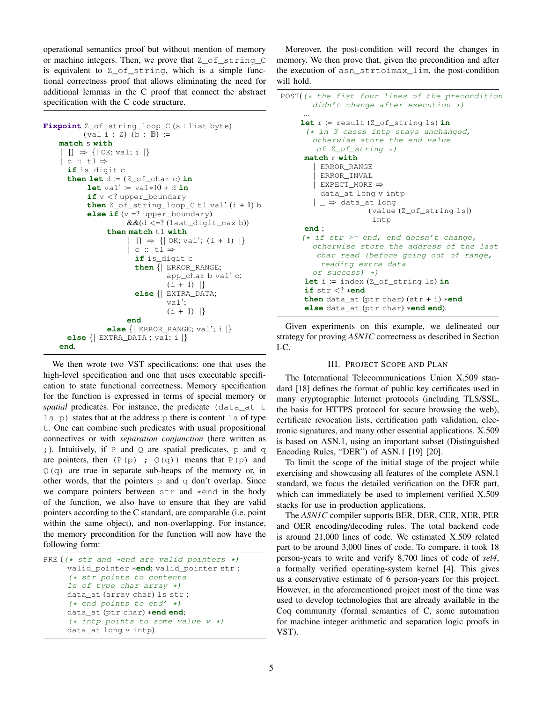operational semantics proof but without mention of memory or machine integers. Then, we prove that Z\_of\_string\_C is equivalent to Z\_of\_string, which is a simple functional correctness proof that allows eliminating the need for additional lemmas in the C proof that connect the abstract specification with the C code structure.

```
Fixpoint Z_of_string_loop_C (s : list byte)
          (val i : Z) (b : B) :=match s with
    \vert \vert \vert \Rightarrow {\vert \vert OK; val; i \vert \}| c :: t1 \Rightarrowif is_digit c
      then let d := (Z_of_char c) inlet val' := val∗10 + d in
           if v < ? upper boundary
           then Z_of_string\_loop_C t1 val' (i + 1) belse if (v =? upper_boundary)
                      &(d \leq ? (last\_digit\_max b))then match tl with
                        [ ] \Rightarrow { | OK; val'; (i + 1) | }| c :: tl ⇒
                        if is_digit c
                        then {| ERROR_RANGE;
                                 app_char b val' c;
                                 (i + 1) |}
                        else {| EXTRA_DATA;
                                 val';
                                 (i + 1) |}
                      end
                 else {| ERROR_RANGE; val'; i |}
      else {| EXTRA_DATA ; val; i |}
    end.
```
We then wrote two VST specifications: one that uses the high-level specification and one that uses executable specification to state functional correctness. Memory specification for the function is expressed in terms of special memory or *spatial* predicates. For instance, the predicate (data at t  $\exists s \, p$ ) states that at the address p there is content  $\exists s$  of type t. One can combine such predicates with usual propositional connectives or with *separation conjunction* (here written as ; ). Intuitively, if  $P$  and  $Q$  are spatial predicates,  $P$  and  $q$ are pointers, then  $(P(p)$ ;  $Q(q)$  means that  $P(p)$  and  $Q(q)$  are true in separate sub-heaps of the memory or, in other words, that the pointers  $p$  and  $q$  don't overlap. Since we compare pointers between str and \*end in the body of the function, we also have to ensure that they are valid pointers according to the C standard, are comparable (i.e. point within the same object), and non-overlapping. For instance, the memory precondition for the function will now have the following form:

```
PRE ((* str and *end are valid pointers *)
     valid_pointer ∗end; valid_pointer str ;
     (* str points to contents
     ls of type char array *)
     data_at (array char) ls str ;
     (* end points to end' *)
     data_at (ptr char) ∗end end;
     (* intp points to some value v *)
     data_at long v intp)
```
Moreover, the post-condition will record the changes in memory. We then prove that, given the precondition and after the execution of asn\_strtoimax\_lim, the post-condition will hold.

```
POST((* the fist four lines of the precondition
       didn't change after execution *)
     ...
    let r := result (Z_of_string ls) in
     (* in 3 cases intp stays unchanged,
       otherwise store the end value
        of Z_of_string *)
     match r with
       | ERROR_RANGE
        | ERROR_INVAL
       | EXPECT_MORE ⇒
         data_at long v intp
       | \_ \Rightarrow data_at long
                    (value (Z_of_string ls))
                     intp
     end ;
     (* if str >= end, end doesn't change,otherwise store the address of the last
        char read (before going out of range,
         reading extra data
       or success) *)
     let i := index (Z_of_string ls) in
     if str <? ∗end
     then data_at (ptr char) (str + i) ∗end
     else data_at (ptr char) ∗end end).
```
Given experiments on this example, we delineated our strategy for proving *ASN1C* correctness as described in Section I-C.

# III. PROJECT SCOPE AND PLAN

The International Telecommunications Union X.509 standard [18] defines the format of public key certificates used in many cryptographic Internet protocols (including TLS/SSL, the basis for HTTPS protocol for secure browsing the web), certificate revocation lists, certification path validation, electronic signatures, and many other essential applications. X.509 is based on ASN.1, using an important subset (Distinguished Encoding Rules, "DER") of ASN.1 [19] [20].

To limit the scope of the initial stage of the project while exercising and showcasing all features of the complete ASN.1 standard, we focus the detailed verification on the DER part, which can immediately be used to implement verified X.509 stacks for use in production applications.

The *ASN1C* compiler supports BER, DER, CER, XER, PER and OER encoding/decoding rules. The total backend code is around 21,000 lines of code. We estimated X.509 related part to be around 3,000 lines of code. To compare, it took 18 person-years to write and verify 8,700 lines of code of *sel4*, a formally verified operating-system kernel [4]. This gives us a conservative estimate of 6 person-years for this project. However, in the aforementioned project most of the time was used to develop technologies that are already available in the Coq community (formal semantics of C, some automation for machine integer arithmetic and separation logic proofs in VST).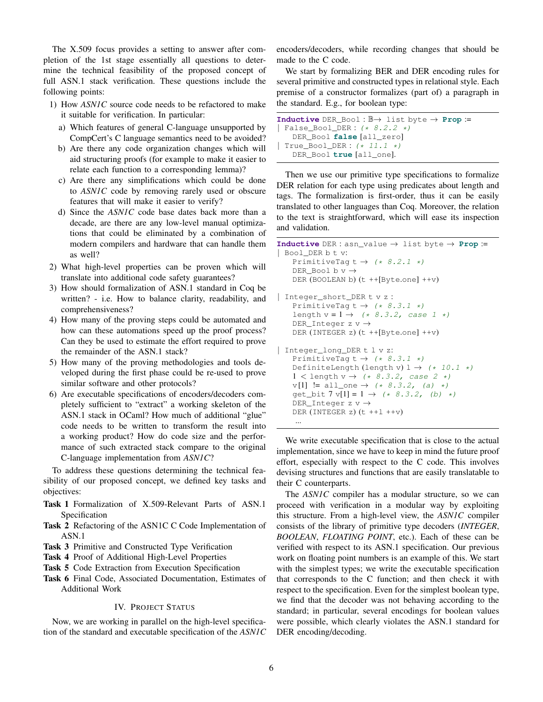The X.509 focus provides a setting to answer after completion of the 1st stage essentially all questions to determine the technical feasibility of the proposed concept of full ASN.1 stack verification. These questions include the following points:

- 1) How *ASN1C* source code needs to be refactored to make it suitable for verification. In particular:
	- a) Which features of general C-language unsupported by CompCert's C language semantics need to be avoided?
	- b) Are there any code organization changes which will aid structuring proofs (for example to make it easier to relate each function to a corresponding lemma)?
	- c) Are there any simplifications which could be done to *ASN1C* code by removing rarely used or obscure features that will make it easier to verify?
	- d) Since the *ASN1C* code base dates back more than a decade, are there are any low-level manual optimizations that could be eliminated by a combination of modern compilers and hardware that can handle them as well?
- 2) What high-level properties can be proven which will translate into additional code safety guarantees?
- 3) How should formalization of ASN.1 standard in Coq be written? - i.e. How to balance clarity, readability, and comprehensiveness?
- 4) How many of the proving steps could be automated and how can these automations speed up the proof process? Can they be used to estimate the effort required to prove the remainder of the ASN.1 stack?
- 5) How many of the proving methodologies and tools developed during the first phase could be re-used to prove similar software and other protocols?
- 6) Are executable specifications of encoders/decoders completely sufficient to "extract" a working skeleton of the ASN.1 stack in OCaml? How much of additional "glue" code needs to be written to transform the result into a working product? How do code size and the performance of such extracted stack compare to the original C-language implementation from *ASN1C*?

To address these questions determining the technical feasibility of our proposed concept, we defined key tasks and objectives:

- Task 1 Formalization of X.509-Relevant Parts of ASN.1 Specification
- Task 2 Refactoring of the ASN1C C Code Implementation of ASN.1
- Task 3 Primitive and Constructed Type Verification
- Task 4 Proof of Additional High-Level Properties
- Task 5 Code Extraction from Execution Specification
- Task 6 Final Code, Associated Documentation, Estimates of Additional Work

# IV. PROJECT STATUS

Now, we are working in parallel on the high-level specification of the standard and executable specification of the *ASN1C* encoders/decoders, while recording changes that should be made to the C code.

We start by formalizing BER and DER encoding rules for several primitive and constructed types in relational style. Each premise of a constructor formalizes (part of) a paragraph in the standard. E.g., for boolean type:

```
Inductive DER_Bool : B→ list byte → Prop :=
| False_Bool_DER : (* 8.2.2 *)
   DER_Bool false [all_zero]
| True_Bool_DER : (* 11.1 *)
   DER_Bool true [all_one].
```
Then we use our primitive type specifications to formalize DER relation for each type using predicates about length and tags. The formalization is first-order, thus it can be easily translated to other languages than Coq. Moreover, the relation to the text is straightforward, which will ease its inspection and validation.

```
Inductive DER : asn_value → list byte → Prop :=
| Bool_DER b t v:
    PrimitiveTag t \rightarrow (* 8.2.1 *)
    DER_Bool b v \rightarrowDER (BOOLEAN b) (t ++[Byte.one] ++v)
 | Integer_short_DER t v z :
    PrimitiveTag t \rightarrow (* 8.3.1 *)
    length v = 1 \rightarrow (+8.3.2, case 1*)DER Integer z v \rightarrowDER (INTEGER z) (t ++[Byte.one] ++v)
| Integer_long_DER t l v z:
    PrimitiveTag t \rightarrow (* 8.3.1 *)
    DefiniteLength (length v) 1 \rightarrow (+10.1 \cdot \cdot)1 < length v \rightarrow (* 8.3.2, case 2 *)
    v[1] := all\_one \rightarrow (* 8.3.2, (a) * )get_bit 7 v[1] = 1 \rightarrow (+8.3.2, (b) +)DER Integer z v \rightarrowDER (INTEGER z) (t ++1 ++v)
     ...
```
We write executable specification that is close to the actual implementation, since we have to keep in mind the future proof effort, especially with respect to the C code. This involves devising structures and functions that are easily translatable to their C counterparts.

The *ASN1C* compiler has a modular structure, so we can proceed with verification in a modular way by exploiting this structure. From a high-level view, the *ASN1C* compiler consists of the library of primitive type decoders (*INTEGER*, *BOOLEAN*, *FLOATING POINT*, etc.). Each of these can be verified with respect to its ASN.1 specification. Our previous work on floating point numbers is an example of this. We start with the simplest types; we write the executable specification that corresponds to the C function; and then check it with respect to the specification. Even for the simplest boolean type, we find that the decoder was not behaving according to the standard; in particular, several encodings for boolean values were possible, which clearly violates the ASN.1 standard for DER encoding/decoding.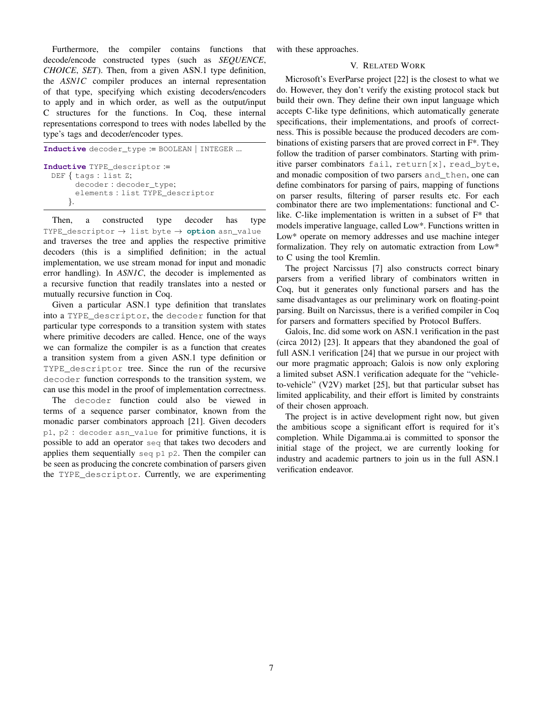Furthermore, the compiler contains functions that decode/encode constructed types (such as *SEQUENCE*, *CHOICE*, *SET*). Then, from a given ASN.1 type definition, the *ASN1C* compiler produces an internal representation of that type, specifying which existing decoders/encoders to apply and in which order, as well as the output/input C structures for the functions. In Coq, these internal representations correspond to trees with nodes labelled by the type's tags and decoder/encoder types.

```
Inductive decoder_type := BOOLEAN | INTEGER ...
Inductive TYPE_descriptor :=
 DEF { tags : list Z;
       decoder : decoder_type;
       elements : list TYPE_descriptor
     }.
```
Then, a constructed type decoder has type TYPE\_descriptor → list byte → **option** asn\_value and traverses the tree and applies the respective primitive decoders (this is a simplified definition; in the actual implementation, we use stream monad for input and monadic error handling). In *ASN1C*, the decoder is implemented as a recursive function that readily translates into a nested or mutually recursive function in Coq.

Given a particular ASN.1 type definition that translates into a TYPE\_descriptor, the decoder function for that particular type corresponds to a transition system with states where primitive decoders are called. Hence, one of the ways we can formalize the compiler is as a function that creates a transition system from a given ASN.1 type definition or TYPE\_descriptor tree. Since the run of the recursive decoder function corresponds to the transition system, we can use this model in the proof of implementation correctness.

The decoder function could also be viewed in terms of a sequence parser combinator, known from the monadic parser combinators approach [21]. Given decoders p1, p2 : decoder asn\_value for primitive functions, it is possible to add an operator seq that takes two decoders and applies them sequentially seq  $p1 p2$ . Then the compiler can be seen as producing the concrete combination of parsers given the TYPE\_descriptor. Currently, we are experimenting

with these approaches.

# V. RELATED WORK

Microsoft's EverParse project [22] is the closest to what we do. However, they don't verify the existing protocol stack but build their own. They define their own input language which accepts C-like type definitions, which automatically generate specifications, their implementations, and proofs of correctness. This is possible because the produced decoders are combinations of existing parsers that are proved correct in F\*. They follow the tradition of parser combinators. Starting with primitive parser combinators fail, return[x], read\_byte, and monadic composition of two parsers and\_then, one can define combinators for parsing of pairs, mapping of functions on parser results, filtering of parser results etc. For each combinator there are two implementations: functional and Clike. C-like implementation is written in a subset of F\* that models imperative language, called Low\*. Functions written in Low\* operate on memory addresses and use machine integer formalization. They rely on automatic extraction from Low\* to C using the tool Kremlin.

The project Narcissus [7] also constructs correct binary parsers from a verified library of combinators written in Coq, but it generates only functional parsers and has the same disadvantages as our preliminary work on floating-point parsing. Built on Narcissus, there is a verified compiler in Coq for parsers and formatters specified by Protocol Buffers.

Galois, Inc. did some work on ASN.1 verification in the past (circa 2012) [23]. It appears that they abandoned the goal of full ASN.1 verification [24] that we pursue in our project with our more pragmatic approach; Galois is now only exploring a limited subset ASN.1 verification adequate for the "vehicleto-vehicle" (V2V) market [25], but that particular subset has limited applicability, and their effort is limited by constraints of their chosen approach.

The project is in active development right now, but given the ambitious scope a significant effort is required for it's completion. While Digamma.ai is committed to sponsor the initial stage of the project, we are currently looking for industry and academic partners to join us in the full ASN.1 verification endeavor.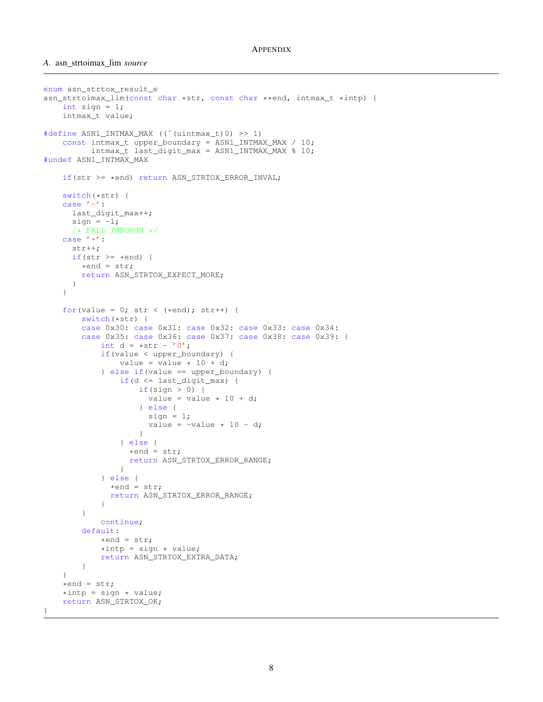```
enum asn_strtox_result_e
asn_strtoimax_lim(const char *str, const char **end, intmax_t *intp) {
    int sign = 1;intmax_t value;
#define ASN1 INTMAX MAX (("(uintmax t)0) >> 1)
    const intmax_t upper_boundary = ASN1_INTMAX_MAX / 10;
          intmax_t last_digit_max = ASN1_INTMAX_MAX % 10;
#undef ASN1_INTMAX_MAX
    if(str >= *end) return ASN_STRTOX_ERROR_INVAL;
    switch(*str) {
    case ' -' :
     last_digit_max++;
     sign = -1;
      /* FALL THROUGH */case '+':
      str++;
      if(str >= *end) {
        *end = str;return ASN_STRTOX_EXPECT_MORE;
      }
    }
    for(value = 0; str < (*end); str++) {
        switch(*str) {
        case 0x30: case 0x31: case 0x32: case 0x33: case 0x34:
        case 0x35: case 0x36: case 0x37: case 0x38: case 0x39: {
            int d = *str - '0';if(value < upper_boundary) {
                value = value \star 10 + d;
            } else if(value == upper_boundary) {
                if(d <= last_digit_max) {
                    if(sign > 0) {
                     value = value * 10 + d;} else {
                      sign = 1;
                      value = -value * 10 - d;}
                } else {
                  *end = str;return ASN_STRTOX_ERROR_RANGE;
                }
            } else {
              *end = str;
              return ASN_STRTOX_ERROR_RANGE;
            }
        }
            continue;
        default:
            *end = str;*intp = sign * value;return ASN_STRTOX_EXTRA_DATA;
        }
    }
    *end = str;*intp = sign * value;return ASN_STRTOX_OK;
}
```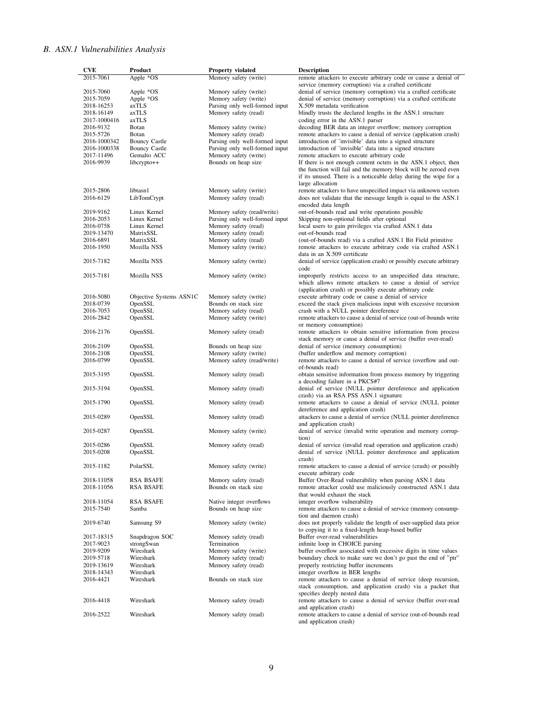# *B. ASN.1 Vulnerabilities Analysis*

| <b>CVE</b>              | Product                             | <b>Property violated</b>                      | <b>Description</b>                                                                                                            |
|-------------------------|-------------------------------------|-----------------------------------------------|-------------------------------------------------------------------------------------------------------------------------------|
| 2015-7061               | Apple *OS                           | Memory safety (write)                         | remote attackers to execute arbitrary code or cause a denial of                                                               |
|                         |                                     |                                               | service (memory corruption) via a crafted certificate                                                                         |
| 2015-7060               | Apple *OS                           | Memory safety (write)                         | denial of service (memory corruption) via a crafted certificate                                                               |
| 2015-7059               | Apple *OS                           | Memory safety (write)                         | denial of service (memory corruption) via a crafted certificate                                                               |
| 2018-16253              | axTLS                               | Parsing only well-formed input                | X.509 metadata verification                                                                                                   |
| 2018-16149              | axTLS                               | Memory safety (read)                          | blindly trusts the declared lengths in the ASN.1 structure                                                                    |
| 2017-1000416            | axTLS                               |                                               | coding error in the ASN.1 parser                                                                                              |
| 2016-9132               | Botan                               | Memory safety (write)                         | decoding BER data an integer overflow; memory corruption                                                                      |
| 2015-5726               | Botan                               | Memory safety (read)                          | remote attackers to cause a denial of service (application crash)                                                             |
| 2016-1000342            | <b>Bouncy Castle</b>                | Parsing only well-formed input                | introduction of 'invisible' data into a signed structure                                                                      |
| 2016-1000338            | <b>Bouncy Castle</b><br>Gemalto ACC | Parsing only well-formed input                | introduction of 'invisible' data into a signed structure<br>remote attackers to execute arbitrary code                        |
| 2017-11496<br>2016-9939 | libcrypto++                         | Memory safety (write)<br>Bounds on heap size  | If there is not enough content octets in the ASN.1 object, then                                                               |
|                         |                                     |                                               | the function will fail and the memory block will be zeroed even                                                               |
|                         |                                     |                                               | if its unused. There is a noticeable delay during the wipe for a                                                              |
|                         |                                     |                                               | large allocation                                                                                                              |
| 2015-2806               | libtasn1                            | Memory safety (write)                         | remote attackers to have unspecified impact via unknown vectors                                                               |
| 2016-6129               | LibTomCrypt                         | Memory safety (read)                          | does not validate that the message length is equal to the ASN.1                                                               |
|                         |                                     |                                               | encoded data length                                                                                                           |
| 2019-9162               | Linux Kernel                        | Memory safety (read/write)                    | out-of-bounds read and write operations possible                                                                              |
| 2016-2053               | Linux Kernel                        | Parsing only well-formed input                | Skipping non-optional fields after optional                                                                                   |
| 2016-0758               | Linux Kernel                        | Memory safety (read)                          | local users to gain privileges via crafted ASN.1 data                                                                         |
| 2019-13470              | MatrixSSL                           | Memory safety (read)                          | out-of-bounds read                                                                                                            |
| 2016-6891               | MatrixSSL                           | Memory safety (read)                          | (out-of-bounds read) via a crafted ASN.1 Bit Field primitive                                                                  |
| 2016-1950               | Mozilla NSS                         | Memory safety (write)                         | remote attackers to execute arbitrary code via crafted ASN.1                                                                  |
|                         |                                     |                                               | data in an X.509 certificate                                                                                                  |
| 2015-7182               | Mozilla NSS                         | Memory safety (write)                         | denial of service (application crash) or possibly execute arbitrary                                                           |
|                         |                                     |                                               | code                                                                                                                          |
| 2015-7181               | Mozilla NSS                         | Memory safety (write)                         | improperly restricts access to an unspecified data structure,                                                                 |
|                         |                                     |                                               | which allows remote attackers to cause a denial of service                                                                    |
|                         |                                     |                                               | (application crash) or possibly execute arbitrary code<br>execute arbitrary code or cause a denial of service                 |
| 2016-5080<br>2018-0739  | Objective Systems ASN1C<br>OpenSSL  | Memory safety (write)<br>Bounds on stack size | exceed the stack given malicious input with excessive recursion                                                               |
| 2016-7053               | OpenSSL                             | Memory safety (read)                          | crash with a NULL pointer dereference                                                                                         |
| 2016-2842               | OpenSSL                             | Memory safety (write)                         | remote attackers to cause a denial of service (out-of-bounds write                                                            |
|                         |                                     |                                               | or memory consumption)                                                                                                        |
| 2016-2176               | OpenSSL                             | Memory safety (read)                          | remote attackers to obtain sensitive information from process                                                                 |
|                         |                                     |                                               | stack memory or cause a denial of service (buffer over-read)                                                                  |
| 2016-2109               | OpenSSL                             | Bounds on heap size                           | denial of service (memory consumption)                                                                                        |
| 2016-2108               | OpenSSL                             | Memory safety (write)                         | (buffer underflow and memory corruption)                                                                                      |
| 2016-0799               | OpenSSL                             | Memory safety (read/write)                    | remote attackers to cause a denial of service (overflow and out-                                                              |
|                         |                                     |                                               | of-bounds read)                                                                                                               |
| 2015-3195               | OpenSSL                             | Memory safety (read)                          | obtain sensitive information from process memory by triggering                                                                |
|                         |                                     |                                               | a decoding failure in a PKCS#7                                                                                                |
| 2015-3194               | OpenSSL                             | Memory safety (read)                          | denial of service (NULL pointer dereference and application                                                                   |
|                         |                                     |                                               | crash) via an RSA PSS ASN.1 signature                                                                                         |
| 2015-1790               | OpenSSL                             | Memory safety (read)                          | remote attackers to cause a denial of service (NULL pointer                                                                   |
|                         |                                     |                                               | dereference and application crash)                                                                                            |
| 2015-0289               | OpenSSL                             | Memory safety (read)                          | attackers to cause a denial of service (NULL pointer dereference                                                              |
|                         |                                     |                                               | and application crash)                                                                                                        |
| 2015-0287               | OpenSSL                             | Memory safety (write)                         | denial of service (invalid write operation and memory corrup-<br>tion)                                                        |
| 2015-0286               | OpenSSL                             | Memory safety (read)                          | denial of service (invalid read operation and application crash)                                                              |
| 2015-0208               | OpenSSL                             |                                               | denial of service (NULL pointer dereference and application                                                                   |
|                         |                                     |                                               | crash)                                                                                                                        |
| 2015-1182               | PolarSSL                            | Memory safety (write)                         | remote attackers to cause a denial of service (crash) or possibly                                                             |
|                         |                                     |                                               | execute arbitrary code                                                                                                        |
| 2018-11058              | <b>RSA BSAFE</b>                    | Memory safety (read)                          | Buffer Over-Read vulnerability when parsing ASN.1 data                                                                        |
| 2018-11056              | <b>RSA BSAFE</b>                    | Bounds on stack size                          | remote attacker could use maliciously constructed ASN.1 data                                                                  |
|                         |                                     |                                               | that would exhaust the stack                                                                                                  |
| 2018-11054              | <b>RSA BSAFE</b>                    | Native integer overflows                      | integer overflow vulnerability                                                                                                |
| 2015-7540               | Samba                               | Bounds on heap size                           | remote attackers to cause a denial of service (memory consump-                                                                |
|                         |                                     |                                               | tion and daemon crash)                                                                                                        |
| 2019-6740               | Samsung S9                          | Memory safety (write)                         | does not properly validate the length of user-supplied data prior                                                             |
|                         |                                     |                                               | to copying it to a fixed-length heap-based buffer                                                                             |
| 2017-18315              | Snapdragon SOC                      | Memory safety (read)                          | Buffer over-read vulnerabilities                                                                                              |
| 2017-9023               | strongSwan                          | Termination                                   | infinite loop in CHOICE parsing                                                                                               |
| 2019-9209               | Wireshark                           | Memory safety (write)                         | buffer overflow associated with excessive digits in time values                                                               |
| 2019-5718               | Wireshark                           | Memory safety (read)                          | boundary check to make sure we don't go past the end of "ptr"                                                                 |
| 2019-13619              | Wireshark                           | Memory safety (read)                          | properly restricting buffer increments                                                                                        |
| 2018-14343              | Wireshark<br>Wireshark              | Bounds on stack size                          | integer overflow in BER lengths                                                                                               |
| 2016-4421               |                                     |                                               | remote attackers to cause a denial of service (deep recursion,<br>stack consumption, and application crash) via a packet that |
|                         |                                     |                                               | specifies deeply nested data                                                                                                  |
| 2016-4418               | Wireshark                           | Memory safety (read)                          | remote attackers to cause a denial of service (buffer over-read                                                               |
|                         |                                     |                                               | and application crash)                                                                                                        |
| 2016-2522               | Wireshark                           | Memory safety (read)                          | remote attackers to cause a denial of service (out-of-bounds read                                                             |
|                         |                                     |                                               | and application crash)                                                                                                        |
|                         |                                     |                                               |                                                                                                                               |